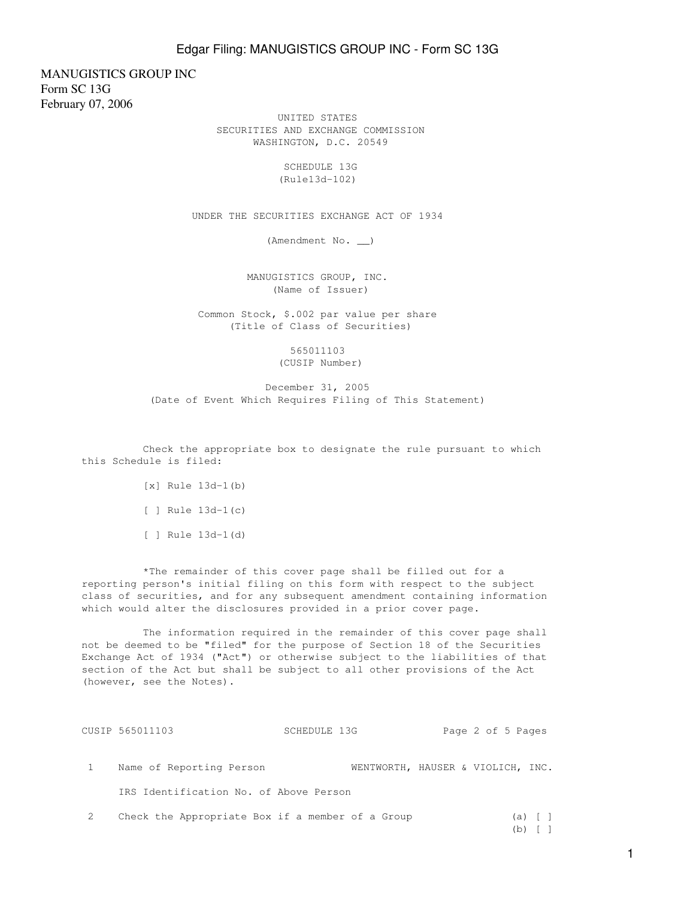MANUGISTICS GROUP INC Form SC 13G February 07, 2006

 UNITED STATES SECURITIES AND EXCHANGE COMMISSION WASHINGTON, D.C. 20549

> SCHEDULE 13G (Rule13d-102)

UNDER THE SECURITIES EXCHANGE ACT OF 1934

(Amendment No. \_\_)

 MANUGISTICS GROUP, INC. (Name of Issuer)

 Common Stock, \$.002 par value per share (Title of Class of Securities)

> 565011103 (CUSIP Number)

 December 31, 2005 (Date of Event Which Requires Filing of This Statement)

 Check the appropriate box to designate the rule pursuant to which this Schedule is filed:

- $[x]$  Rule  $13d-1(b)$
- [ ] Rule 13d-1(c)
- [ ] Rule 13d-1(d)

 \*The remainder of this cover page shall be filled out for a reporting person's initial filing on this form with respect to the subject class of securities, and for any subsequent amendment containing information which would alter the disclosures provided in a prior cover page.

 The information required in the remainder of this cover page shall not be deemed to be "filed" for the purpose of Section 18 of the Securities Exchange Act of 1934 ("Act") or otherwise subject to the liabilities of that section of the Act but shall be subject to all other provisions of the Act (however, see the Notes).

| CUSIP 565011103                        | SCHEDULE 13G |                                   | Page 2 of 5 Pages |  |
|----------------------------------------|--------------|-----------------------------------|-------------------|--|
|                                        |              |                                   |                   |  |
| Name of Reporting Person               |              | WENTWORTH, HAUSER & VIOLICH, INC. |                   |  |
| IRS Identification No. of Above Person |              |                                   |                   |  |

- 2 Check the Appropriate Box if a member of a Group (a) [ ] (b)  $[ ]$ 
	-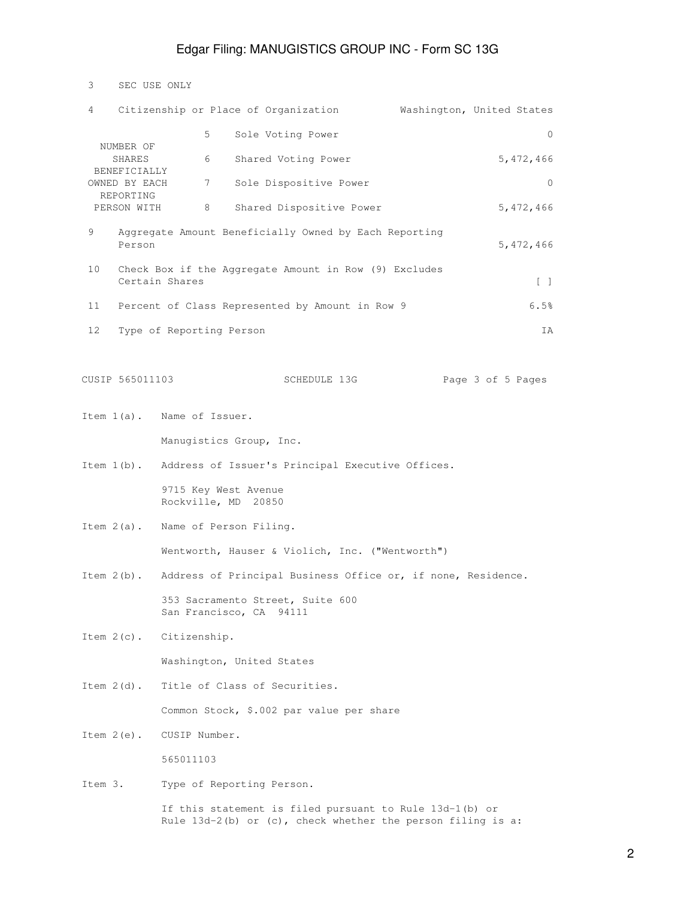## Edgar Filing: MANUGISTICS GROUP INC - Form SC 13G

| 3       | SEC USE ONLY                        |                            |                                             |                                                                                                                        |                                   |
|---------|-------------------------------------|----------------------------|---------------------------------------------|------------------------------------------------------------------------------------------------------------------------|-----------------------------------|
| 4       |                                     |                            |                                             | Citizenship or Place of Organization                                                                                   | Washington, United States         |
|         |                                     | 5                          |                                             | Sole Voting Power                                                                                                      | $\mathbf{0}$                      |
|         | NUMBER OF<br>SHARES<br>BENEFICIALLY | 6                          |                                             | Shared Voting Power                                                                                                    | 5,472,466                         |
|         | OWNED BY EACH                       | 7                          |                                             | Sole Dispositive Power                                                                                                 | $\mathbf{0}$                      |
|         | REPORTING<br>PERSON WITH            | 8                          |                                             | Shared Dispositive Power                                                                                               | 5,472,466                         |
| 9       | Person                              |                            |                                             | Aggregate Amount Beneficially Owned by Each Reporting                                                                  | 5,472,466                         |
| 10      |                                     | Certain Shares             |                                             | Check Box if the Aggregate Amount in Row (9) Excludes                                                                  | $\begin{bmatrix} 1 \end{bmatrix}$ |
| 11      |                                     |                            |                                             | Percent of Class Represented by Amount in Row 9                                                                        | 6.5%                              |
| 12      |                                     | Type of Reporting Person   |                                             |                                                                                                                        | ΙA                                |
|         | CUSIP 565011103                     |                            |                                             | SCHEDULE 13G                                                                                                           | Page 3 of 5 Pages                 |
|         |                                     | Item 1(a). Name of Issuer. |                                             |                                                                                                                        |                                   |
|         |                                     |                            | Manugistics Group, Inc.                     |                                                                                                                        |                                   |
|         |                                     |                            |                                             | Item 1(b). Address of Issuer's Principal Executive Offices.                                                            |                                   |
|         |                                     |                            | 9715 Key West Avenue<br>Rockville, MD 20850 |                                                                                                                        |                                   |
|         |                                     |                            | Item 2(a). Name of Person Filing.           |                                                                                                                        |                                   |
|         |                                     |                            |                                             | Wentworth, Hauser & Violich, Inc. ("Wentworth")                                                                        |                                   |
|         |                                     |                            |                                             | Item 2(b). Address of Principal Business Office or, if none, Residence.                                                |                                   |
|         |                                     |                            | San Francisco, CA 94111                     | 353 Sacramento Street, Suite 600                                                                                       |                                   |
|         | Item $2(c)$ .                       | Citizenship.               |                                             |                                                                                                                        |                                   |
|         |                                     |                            | Washington, United States                   |                                                                                                                        |                                   |
|         | Item $2(d)$ .                       |                            | Title of Class of Securities.               |                                                                                                                        |                                   |
|         |                                     |                            |                                             | Common Stock, \$.002 par value per share                                                                               |                                   |
|         | Item $2(e)$ .                       | CUSIP Number.              |                                             |                                                                                                                        |                                   |
|         |                                     | 565011103                  |                                             |                                                                                                                        |                                   |
| Item 3. |                                     |                            | Type of Reporting Person.                   |                                                                                                                        |                                   |
|         |                                     |                            |                                             | If this statement is filed pursuant to Rule 13d-1(b) or<br>Rule 13d-2(b) or (c), check whether the person filing is a: |                                   |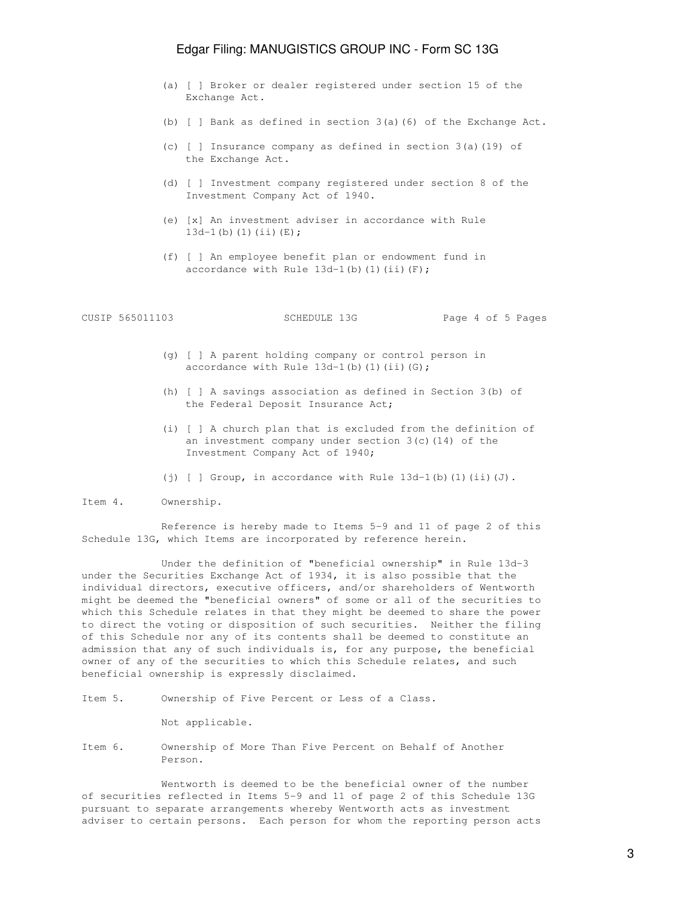## Edgar Filing: MANUGISTICS GROUP INC - Form SC 13G

- (a) [ ] Broker or dealer registered under section 15 of the Exchange Act.
- (b) [ ] Bank as defined in section 3(a)(6) of the Exchange Act.
- (c) [ ] Insurance company as defined in section 3(a)(19) of the Exchange Act.
- (d) [ ] Investment company registered under section 8 of the Investment Company Act of 1940.
- (e) [x] An investment adviser in accordance with Rule  $13d-1$  (b)  $(1)$   $(ii)$   $(E)$ ;
- (f) [ ] An employee benefit plan or endowment fund in accordance with Rule  $13d-1$ (b)(1)(ii)(F);

|  | CUSIP 565011103 | SCHEDULE 13G | Page 4 of 5 Pages |  |  |  |
|--|-----------------|--------------|-------------------|--|--|--|
|--|-----------------|--------------|-------------------|--|--|--|

- (g) [ ] A parent holding company or control person in accordance with Rule  $13d-1$ (b)(1)(ii)(G);
- (h) [ ] A savings association as defined in Section 3(b) of the Federal Deposit Insurance Act;
- (i) [ ] A church plan that is excluded from the definition of an investment company under section 3(c)(14) of the Investment Company Act of 1940;
- (j)  $[ ]$  Group, in accordance with Rule  $13d-1$ (b)(1)(ii)(J).

Item 4. Ownership.

 Reference is hereby made to Items 5-9 and 11 of page 2 of this Schedule 13G, which Items are incorporated by reference herein.

 Under the definition of "beneficial ownership" in Rule 13d-3 under the Securities Exchange Act of 1934, it is also possible that the individual directors, executive officers, and/or shareholders of Wentworth might be deemed the "beneficial owners" of some or all of the securities to which this Schedule relates in that they might be deemed to share the power to direct the voting or disposition of such securities. Neither the filing of this Schedule nor any of its contents shall be deemed to constitute an admission that any of such individuals is, for any purpose, the beneficial owner of any of the securities to which this Schedule relates, and such beneficial ownership is expressly disclaimed.

Item 5. Ownership of Five Percent or Less of a Class.

Not applicable.

Item 6. Ownership of More Than Five Percent on Behalf of Another Person.

 Wentworth is deemed to be the beneficial owner of the number of securities reflected in Items 5-9 and 11 of page 2 of this Schedule 13G pursuant to separate arrangements whereby Wentworth acts as investment adviser to certain persons. Each person for whom the reporting person acts